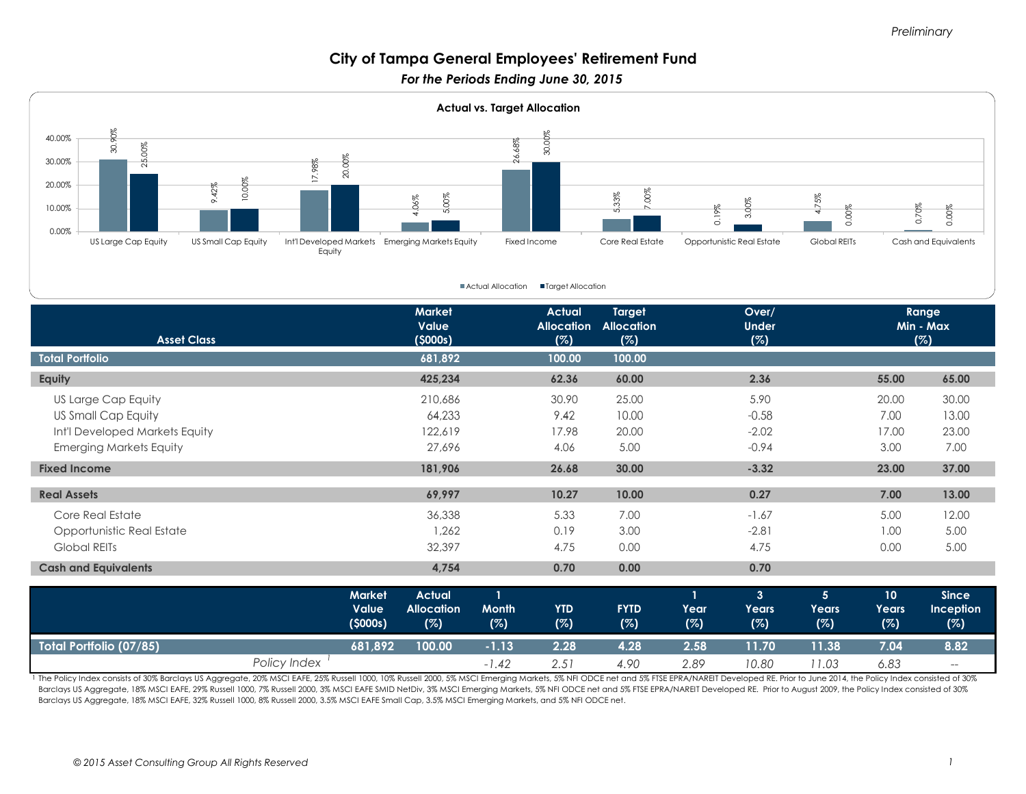# **City of Tampa General Employees' Retirement Fund**

*For the Periods Ending June 30, 2015* 



| <b>Asset Class</b>             |              |                                   | <b>Market</b><br>Value<br>(5000s)         |                                     | <b>Actual</b><br><b>Allocation</b><br>(%) | Target<br><b>Allocation</b><br>(%) |                             | Over/<br><b>Under</b><br>(%)          |                                |                                        | Range<br>Min - Max<br>(%)               |
|--------------------------------|--------------|-----------------------------------|-------------------------------------------|-------------------------------------|-------------------------------------------|------------------------------------|-----------------------------|---------------------------------------|--------------------------------|----------------------------------------|-----------------------------------------|
| <b>Total Portfolio</b>         |              |                                   | 681,892                                   |                                     | 100.00                                    | 100.00                             |                             |                                       |                                |                                        |                                         |
| Equity                         |              |                                   | 425,234                                   |                                     | 62.36                                     | 60.00                              |                             | 2.36                                  |                                | 55.00                                  | 65.00                                   |
| US Large Cap Equity            |              |                                   | 210,686                                   |                                     | 30.90                                     | 25.00                              |                             | 5.90                                  |                                | 20.00                                  | 30.00                                   |
| US Small Cap Equity            |              |                                   | 64,233                                    |                                     | 9.42                                      | 10.00                              |                             | $-0.58$                               |                                | 7.00                                   | 13.00                                   |
| Int'l Developed Markets Equity |              |                                   | 122,619                                   |                                     | 17.98                                     | 20.00                              |                             | $-2.02$                               |                                | 17.00                                  | 23.00                                   |
| <b>Emerging Markets Equity</b> |              |                                   | 27,696                                    |                                     | 4.06                                      | 5.00                               |                             | $-0.94$                               |                                | 3.00                                   | 7.00                                    |
| <b>Fixed Income</b>            |              |                                   | 181,906                                   |                                     | 26.68                                     | 30.00                              |                             | $-3.32$                               |                                | 23.00                                  | 37.00                                   |
| <b>Real Assets</b>             |              |                                   | 69,997                                    |                                     | 10.27                                     | 10.00                              |                             | 0.27                                  |                                | 7.00                                   | 13.00                                   |
| Core Real Estate               |              |                                   | 36,338                                    |                                     | 5.33                                      | 7.00                               |                             | $-1.67$                               |                                | 5.00                                   | 12.00                                   |
| Opportunistic Real Estate      |              |                                   | 1,262                                     |                                     | 0.19                                      | 3.00                               |                             | $-2.81$                               |                                | 1.00                                   | 5.00                                    |
| <b>Global REITs</b>            |              |                                   | 32,397                                    |                                     | 4.75                                      | 0.00                               |                             | 4.75                                  |                                | 0.00                                   | 5.00                                    |
| <b>Cash and Equivalents</b>    |              |                                   | 4,754                                     |                                     | 0.70                                      | 0.00                               |                             | 0.70                                  |                                |                                        |                                         |
|                                |              | <b>Market</b><br>Value<br>(5000s) | <b>Actual</b><br><b>Allocation</b><br>(%) | $\mathbf{1}$<br><b>Month</b><br>(%) | <b>YTD</b><br>(%)                         | <b>FYTD</b><br>(%)                 | $\mathbf{1}$<br>Year<br>(%) | $\overline{3}$<br><b>Years</b><br>(%) | 5 <sup>5</sup><br>Years<br>(%) | 10 <sub>o</sub><br><b>Years</b><br>(%) | <b>Since</b><br><b>Inception</b><br>(%) |
| Total Portfolio (07/85)        |              | 681,892                           | 100.00                                    | $-1.13$                             | 2.28                                      | 4.28                               | 2.58                        | 11.70                                 | 11.38                          | 7.04                                   | 8.82                                    |
|                                | Policy Index |                                   |                                           | $-1.42$                             | 2.51                                      | 4.90                               | 2.89                        | 10.80                                 | 11.03                          | 6.83                                   | $-\!$ $\!-$                             |

1 The Policy Index consists of 30% Barclays US Aggregate, 20% MSCI EAFE, 25% Russell 1000, 10% Russell 2000, 5% MSCI Emerging Markets, 5% NFI ODCE net and 5% FTSE EPRA/NAREIT Developed RE. Prior to June 2014, the Policy In Barclays US Aggregate, 18% MSCI EAFE, 29% Russell 1000, 7% Russell 2000, 3% MSCI EAFE SMID NetDiv, 3% MSCI Emerging Markets, 5% NFI ODCE net and 5% FTSE EPRA/NAREIT Developed RE. Prior to August 2009, the Policy Index cons Barclays US Aggregate, 18% MSCI EAFE, 32% Russell 1000, 8% Russell 2000, 3.5% MSCI EAFE Small Cap, 3.5% MSCI Emerging Markets, and 5% NFI ODCE net.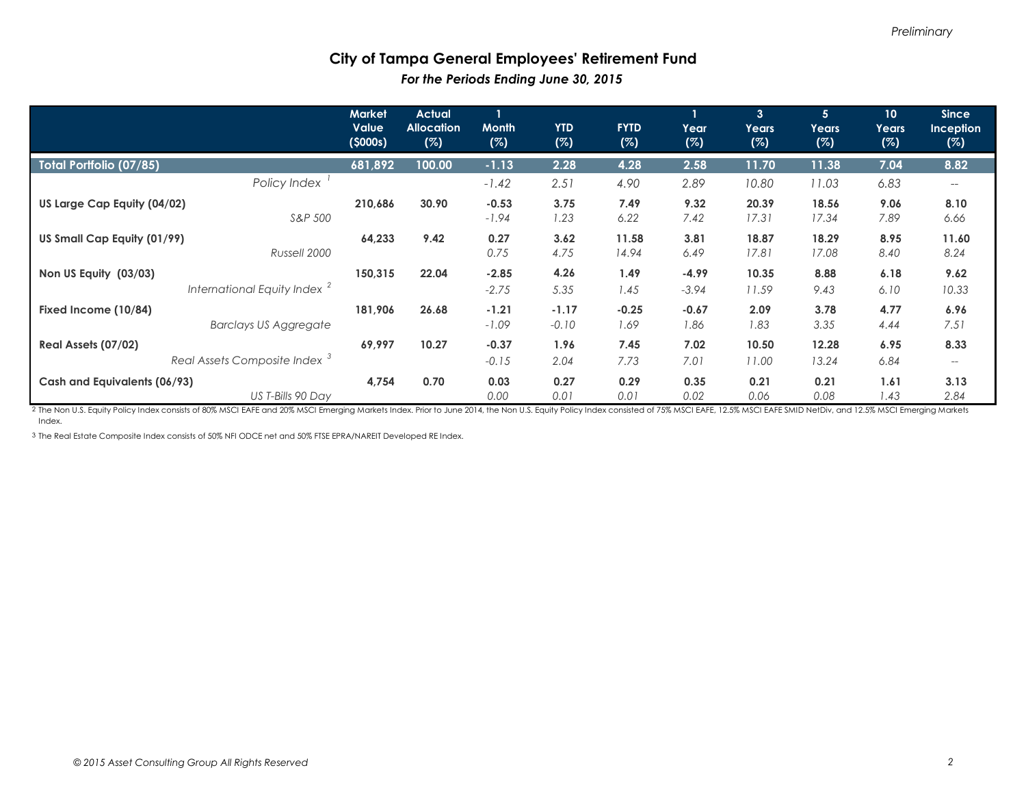#### **City of Tampa General Employees' Retirement Fund**  *For the Periods Ending June 30, 2015*

|                                                                  | <b>Market</b><br><b>Value</b><br>(5000s) | <b>Actual</b><br><b>Allocation</b><br>(%) | <b>Month</b><br>(%) | <b>YTD</b><br>(%)  | <b>FYTD</b><br>(%) | $\mathbf{1}$<br>Year<br>(%) | $\mathbf{3}$<br>Years<br>(%) | 5 <sup>1</sup><br>Years<br>(%) | 10 <sup>°</sup><br>Years<br>(%) | <b>Since</b><br><b>Inception</b><br>(%) |
|------------------------------------------------------------------|------------------------------------------|-------------------------------------------|---------------------|--------------------|--------------------|-----------------------------|------------------------------|--------------------------------|---------------------------------|-----------------------------------------|
| Total Portfolio (07/85)                                          | 681,892                                  | 100.00                                    | $-1.13$             | 2.28               | 4.28               | 2.58                        | 11.70                        | 11.38                          | 7.04                            | 8.82                                    |
| Policy Index                                                     |                                          |                                           | $-1.42$             | 2.51               | 4.90               | 2.89                        | 10.80                        | 11.03                          | 6.83                            |                                         |
| US Large Cap Equity (04/02)<br>S&P 500                           | 210,686                                  | 30.90                                     | $-0.53$<br>$-1.94$  | 3.75<br>1.23       | 7.49<br>6.22       | 9.32<br>7.42                | 20.39<br>17.31               | 18.56<br>17.34                 | 9.06<br>7.89                    | 8.10<br>6.66                            |
| US Small Cap Equity (01/99)<br>Russell 2000                      | 64,233                                   | 9.42                                      | 0.27<br>0.75        | 3.62<br>4.75       | 11.58<br>14.94     | 3.81<br>6.49                | 18.87<br>17.81               | 18.29<br>17.08                 | 8.95<br>8.40                    | 11.60<br>8.24                           |
| Non US Equity (03/03)<br>International Equity Index <sup>2</sup> | 150,315                                  | 22.04                                     | $-2.85$<br>$-2.75$  | 4.26<br>5.35       | 1.49<br>1.45       | $-4.99$<br>$-3.94$          | 10.35<br>11.59               | 8.88<br>9.43                   | 6.18<br>6.10                    | 9.62<br>10.33                           |
| Fixed Income (10/84)<br><b>Barclays US Aggregate</b>             | 181,906                                  | 26.68                                     | $-1.21$<br>$-1.09$  | $-1.17$<br>$-0.10$ | $-0.25$<br>1.69    | $-0.67$<br>1.86             | 2.09<br>1.83                 | 3.78<br>3.35                   | 4.77<br>4.44                    | 6.96<br>7.51                            |
| Real Assets (07/02)<br>Real Assets Composite Index <sup>3</sup>  | 69,997                                   | 10.27                                     | $-0.37$<br>$-0.15$  | 1.96<br>2.04       | 7.45<br>7.73       | 7.02<br>7.01                | 10.50<br>11.00               | 12.28<br>13.24                 | 6.95<br>6.84                    | 8.33                                    |
| Cash and Equivalents (06/93)<br>US T-Bills 90 Day                | 4,754                                    | 0.70                                      | 0.03<br>0.00        | 0.27<br>0.01       | 0.29<br>0.01       | 0.35<br>0.02                | 0.21<br>0.06                 | 0.21<br>0.08                   | 1.61<br>1.43                    | 3.13<br>2.84                            |

2 The Non U.S. Equity Policy Index consists of 80% MSCI EAFE and 20% MSCI Emerging Markets Index. Prior to June 2014, the Non U.S. Equity Policy Index consisted of 75% MSCI EAFE, 12.5% MSCI EAFE SMID NetDiv, and 12.5% MSCI Index.

3 The Real Estate Composite Index consists of 50% NFI ODCE net and 50% FTSE EPRA/NAREIT Developed RE Index.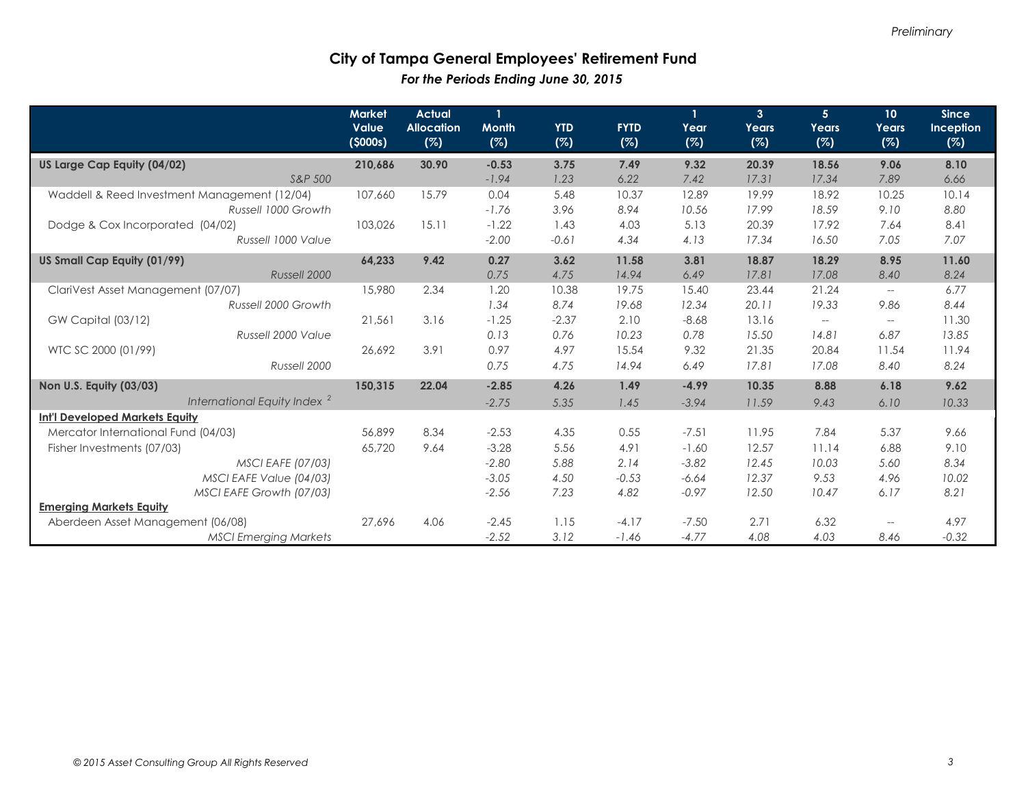### **City of Tampa General Employees' Retirement Fund**  *For the Periods Ending June 30, 2015*

|                                              | <b>Market</b><br>Value<br>(5000s) | <b>Actual</b><br><b>Allocation</b><br>(%) | $\mathbf{1}$<br><b>Month</b><br>(%) | <b>YTD</b><br>(%) | <b>FYTD</b><br>(%) | Year<br>(%) | $\overline{3}$<br>Years<br>(%) | 5 <sup>1</sup><br>Years<br>(%) | 10 <sup>°</sup><br>Years<br>(%) | <b>Since</b><br>Inception<br>(%) |
|----------------------------------------------|-----------------------------------|-------------------------------------------|-------------------------------------|-------------------|--------------------|-------------|--------------------------------|--------------------------------|---------------------------------|----------------------------------|
| US Large Cap Equity (04/02)                  | 210,686                           | 30.90                                     | $-0.53$                             | 3.75              | 7.49               | 9.32        | 20.39                          | 18.56                          | 9.06                            | 8.10                             |
| S&P 500                                      |                                   |                                           | $-1.94$                             | 1.23              | 6.22               | 7.42        | 17.31                          | 17.34                          | 7.89                            | 6.66                             |
| Waddell & Reed Investment Management (12/04) | 107,660                           | 15.79                                     | 0.04                                | 5.48              | 10.37              | 12.89       | 19.99                          | 18.92                          | 10.25                           | 10.14                            |
| Russell 1000 Growth                          |                                   |                                           | $-1.76$                             | 3.96              | 8.94               | 10.56       | 17.99                          | 18.59                          | 9.10                            | 8.80                             |
| Dodge & Cox Incorporated (04/02)             | 103,026                           | 15.11                                     | $-1.22$                             | 1.43              | 4.03               | 5.13        | 20.39                          | 17.92                          | 7.64                            | 8.41                             |
| Russell 1000 Value                           |                                   |                                           | $-2.00$                             | $-0.61$           | 4.34               | 4.13        | 17.34                          | 16.50                          | 7.05                            | 7.07                             |
| US Small Cap Equity (01/99)                  | 64,233                            | 9.42                                      | 0.27                                | 3.62              | 11.58              | 3.81        | 18.87                          | 18.29                          | 8.95                            | 11.60                            |
| Russell 2000                                 |                                   |                                           | 0.75                                | 4.75              | 14.94              | 6.49        | 17.81                          | 17.08                          | 8.40                            | 8.24                             |
| ClariVest Asset Management (07/07)           | 15,980                            | 2.34                                      | 1.20                                | 10.38             | 19.75              | 15.40       | 23.44                          | 21.24                          | $\overline{\phantom{m}}$        | 6.77                             |
| Russell 2000 Growth                          |                                   |                                           | 1.34                                | 8.74              | 19.68              | 12.34       | 20.11                          | 19.33                          | 9.86                            | 8.44                             |
| GW Capital (03/12)                           | 21,561                            | 3.16                                      | $-1.25$                             | $-2.37$           | 2.10               | $-8.68$     | 13.16                          | $\hspace{0.05cm} -$            | $- -$                           | 11.30                            |
| Russell 2000 Value                           |                                   |                                           | 0.13                                | 0.76              | 10.23              | 0.78        | 15.50                          | 14.81                          | 6.87                            | 13.85                            |
| WTC SC 2000 (01/99)                          | 26,692                            | 3.91                                      | 0.97                                | 4.97              | 15.54              | 9.32        | 21.35                          | 20.84                          | 11.54                           | 11.94                            |
| Russell 2000                                 |                                   |                                           | 0.75                                | 4.75              | 14.94              | 6.49        | 17.81                          | 17.08                          | 8.40                            | 8.24                             |
| Non U.S. Equity (03/03)                      | 150,315                           | 22.04                                     | $-2.85$                             | 4.26              | 1.49               | $-4.99$     | 10.35                          | 8.88                           | 6.18                            | 9.62                             |
| International Equity Index <sup>2</sup>      |                                   |                                           | $-2.75$                             | 5.35              | 1.45               | $-3.94$     | 11.59                          | 9.43                           | 6.10                            | 10.33                            |
| <b>Int'l Developed Markets Equity</b>        |                                   |                                           |                                     |                   |                    |             |                                |                                |                                 |                                  |
| Mercator International Fund (04/03)          | 56,899                            | 8.34                                      | $-2.53$                             | 4.35              | 0.55               | $-7.51$     | 11.95                          | 7.84                           | 5.37                            | 9.66                             |
| Fisher Investments (07/03)                   | 65,720                            | 9.64                                      | $-3.28$                             | 5.56              | 4.91               | $-1.60$     | 12.57                          | 11.14                          | 6.88                            | 9.10                             |
| <b>MSCI EAFE (07/03)</b>                     |                                   |                                           | $-2.80$                             | 5.88              | 2.14               | $-3.82$     | 12.45                          | 10.03                          | 5.60                            | 8.34                             |
| MSCI EAFE Value (04/03)                      |                                   |                                           | $-3.05$                             | 4.50              | $-0.53$            | $-6.64$     | 12.37                          | 9.53                           | 4.96                            | 10.02                            |
| MSCI EAFE Growth (07/03)                     |                                   |                                           | $-2.56$                             | 7.23              | 4.82               | $-0.97$     | 12.50                          | 10.47                          | 6.17                            | 8.21                             |
| <b>Emerging Markets Equity</b>               |                                   |                                           |                                     |                   |                    |             |                                |                                |                                 |                                  |
| Aberdeen Asset Management (06/08)            | 27,696                            | 4.06                                      | $-2.45$                             | 1.15              | $-4.17$            | $-7.50$     | 2.71                           | 6.32                           | $\overline{\phantom{a}}$        | 4.97                             |
| <b>MSCI Emerging Markets</b>                 |                                   |                                           | $-2.52$                             | 3.12              | $-1.46$            | $-4.77$     | 4.08                           | 4.03                           | 8.46                            | $-0.32$                          |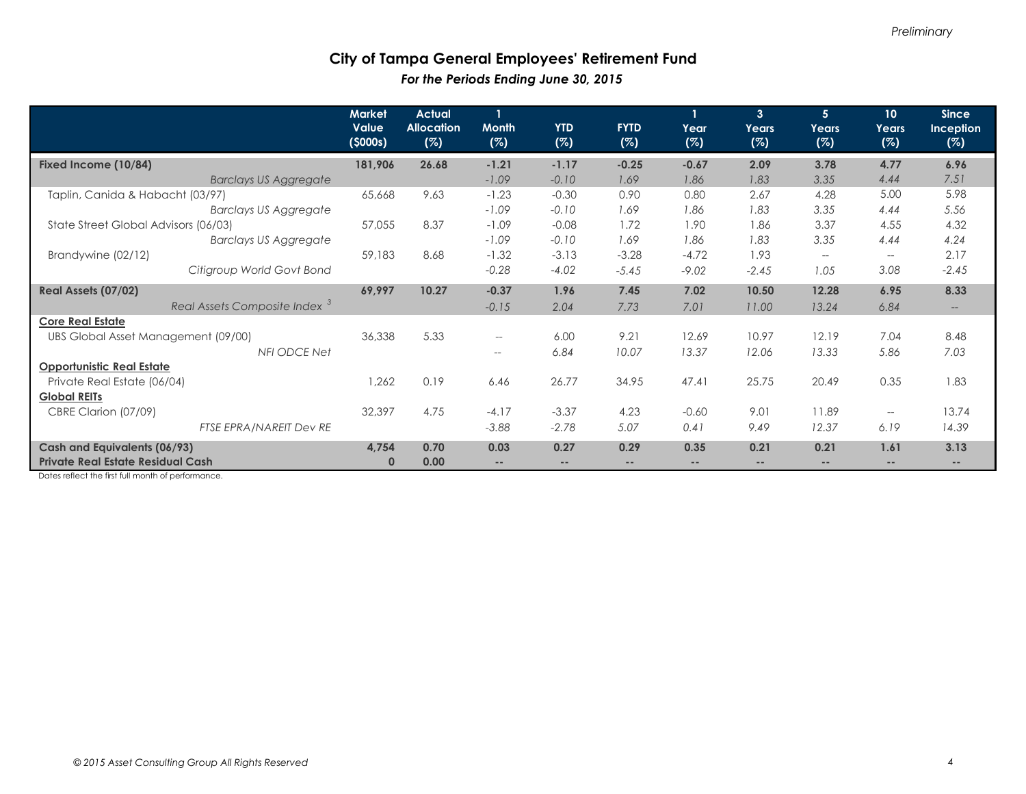### **City of Tampa General Employees' Retirement Fund**  *For the Periods Ending June 30, 2015*

|                                          | <b>Market</b><br><b>Value</b><br>(5000s) | <b>Actual</b><br><b>Allocation</b><br>(%) | $\mathbf{1}$<br><b>Month</b><br>(%) | <b>YTD</b><br>(%) | <b>FYTD</b><br>(%) | Year<br>(%)              | $\overline{3}$<br>Years<br>(%) | 5 <sup>1</sup><br><b>Years</b><br>(%) | 10<br>Years<br>(%)       | <b>Since</b><br>Inception<br>(%) |
|------------------------------------------|------------------------------------------|-------------------------------------------|-------------------------------------|-------------------|--------------------|--------------------------|--------------------------------|---------------------------------------|--------------------------|----------------------------------|
| Fixed Income (10/84)                     | 181,906                                  | 26.68                                     | $-1.21$                             | $-1.17$           | $-0.25$            | $-0.67$                  | 2.09                           | 3.78                                  | 4.77                     | 6.96                             |
| <b>Barclays US Aggregate</b>             |                                          |                                           | $-1.09$                             | $-0.10$           | 1.69               | 1.86                     | 1.83                           | 3.35                                  | 4.44                     | 7.51                             |
| Taplin, Canida & Habacht (03/97)         | 65,668                                   | 9.63                                      | $-1.23$                             | $-0.30$           | 0.90               | 0.80                     | 2.67                           | 4.28                                  | 5.00                     | 5.98                             |
| <b>Barclays US Aggregate</b>             |                                          |                                           | $-1.09$                             | $-0.10$           | 1.69               | 1.86                     | 1.83                           | 3.35                                  | 4.44                     | 5.56                             |
| State Street Global Advisors (06/03)     | 57,055                                   | 8.37                                      | $-1.09$                             | $-0.08$           | 1.72               | 1.90                     | 1.86                           | 3.37                                  | 4.55                     | 4.32                             |
| <b>Barclays US Aggregate</b>             |                                          |                                           | $-1.09$                             | $-0.10$           | 1.69               | 1.86                     | 1.83                           | 3.35                                  | 4.44                     | 4.24                             |
| Brandywine (02/12)                       | 59,183                                   | 8.68                                      | $-1.32$                             | $-3.13$           | $-3.28$            | $-4.72$                  | 1.93                           | $\overline{\phantom{a}}$              | $\hspace{0.05cm} \ldots$ | 2.17                             |
| Citigroup World Govt Bond                |                                          |                                           | $-0.28$                             | $-4.02$           | $-5.45$            | $-9.02$                  | $-2.45$                        | 1.05                                  | 3.08                     | $-2.45$                          |
| Real Assets (07/02)                      | 69,997                                   | 10.27                                     | $-0.37$                             | 1.96              | 7.45               | 7.02                     | 10.50                          | 12.28                                 | 6.95                     | 8.33                             |
| Real Assets Composite Index <sup>3</sup> |                                          |                                           | $-0.15$                             | 2.04              | 7.73               | 7.01                     | 11.00                          | 13.24                                 | 6.84                     | $--$                             |
| <b>Core Real Estate</b>                  |                                          |                                           |                                     |                   |                    |                          |                                |                                       |                          |                                  |
| UBS Global Asset Management (09/00)      | 36,338                                   | 5.33                                      | $\overline{\phantom{m}}$            | 6.00              | 9.21               | 12.69                    | 10.97                          | 12.19                                 | 7.04                     | 8.48                             |
| NFI ODCE Net                             |                                          |                                           | --                                  | 6.84              | 10.07              | 13.37                    | 12.06                          | 13.33                                 | 5.86                     | 7.03                             |
| <b>Opportunistic Real Estate</b>         |                                          |                                           |                                     |                   |                    |                          |                                |                                       |                          |                                  |
| Private Real Estate (06/04)              | 1,262                                    | 0.19                                      | 6.46                                | 26.77             | 34.95              | 47.41                    | 25.75                          | 20.49                                 | 0.35                     | 1.83                             |
| <b>Global REITs</b>                      |                                          |                                           |                                     |                   |                    |                          |                                |                                       |                          |                                  |
| CBRE Clarion (07/09)                     | 32,397                                   | 4.75                                      | $-4.17$                             | $-3.37$           | 4.23               | $-0.60$                  | 9.01                           | 11.89                                 | $\hspace{0.05cm} \ldots$ | 13.74                            |
| FTSE EPRA/NAREIT Dev RE                  |                                          |                                           | $-3.88$                             | $-2.78$           | 5.07               | 0.41                     | 9.49                           | 12.37                                 | 6.19                     | 14.39                            |
| Cash and Equivalents (06/93)             | 4,754                                    | 0.70                                      | 0.03                                | 0.27              | 0.29               | 0.35                     | 0.21                           | 0.21                                  | 1.61                     | 3.13                             |
| <b>Private Real Estate Residual Cash</b> | $\bf{0}$                                 | 0.00                                      | $\qquad \qquad -$                   | $\qquad \qquad -$ | $\qquad \qquad -$  | $\overline{\phantom{a}}$ |                                | $- -$                                 | $- -$                    | $\qquad \qquad -$                |

Dates reflect the first full month of performance.